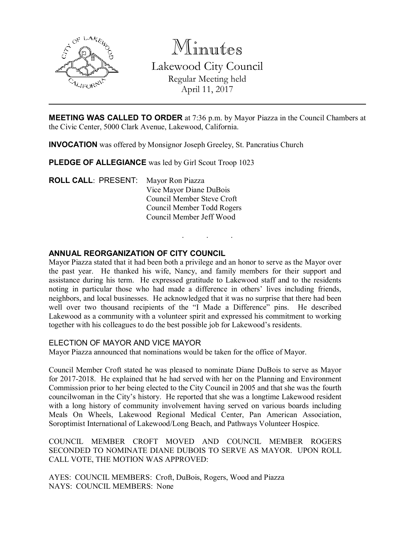

Minutes Lakewood City Council Regular Meeting held April 11, 2017

MEETING WAS CALLED TO ORDER at 7:36 p.m. by Mayor Piazza in the Council Chambers at the Civic Center, 5000 Clark Avenue, Lakewood, California.

INVOCATION was offered by Monsignor Joseph Greeley, St. Pancratius Church

PLEDGE OF ALLEGIANCE was led by Girl Scout Troop 1023

ROLL CALL: PRESENT: Mayor Ron Piazza Vice Mayor Diane DuBois Council Member Steve Croft Council Member Todd Rogers Council Member Jeff Wood

## ANNUAL REORGANIZATION OF CITY COUNCIL

Mayor Piazza stated that it had been both a privilege and an honor to serve as the Mayor over the past year. He thanked his wife, Nancy, and family members for their support and assistance during his term. He expressed gratitude to Lakewood staff and to the residents noting in particular those who had made a difference in others' lives including friends, neighbors, and local businesses. He acknowledged that it was no surprise that there had been well over two thousand recipients of the "I Made a Difference" pins. He described Lakewood as a community with a volunteer spirit and expressed his commitment to working together with his colleagues to do the best possible job for Lakewood's residents.

. . .

#### ELECTION OF MAYOR AND VICE MAYOR

Mayor Piazza announced that nominations would be taken for the office of Mayor.

Council Member Croft stated he was pleased to nominate Diane DuBois to serve as Mayor for 2017-2018. He explained that he had served with her on the Planning and Environment Commission prior to her being elected to the City Council in 2005 and that she was the fourth councilwoman in the City's history. He reported that she was a longtime Lakewood resident with a long history of community involvement having served on various boards including Meals On Wheels, Lakewood Regional Medical Center, Pan American Association, Soroptimist International of Lakewood/Long Beach, and Pathways Volunteer Hospice.

COUNCIL MEMBER CROFT MOVED AND COUNCIL MEMBER ROGERS SECONDED TO NOMINATE DIANE DUBOIS TO SERVE AS MAYOR. UPON ROLL CALL VOTE, THE MOTION WAS APPROVED:

AYES: COUNCIL MEMBERS: Croft, DuBois, Rogers, Wood and Piazza NAYS: COUNCIL MEMBERS: None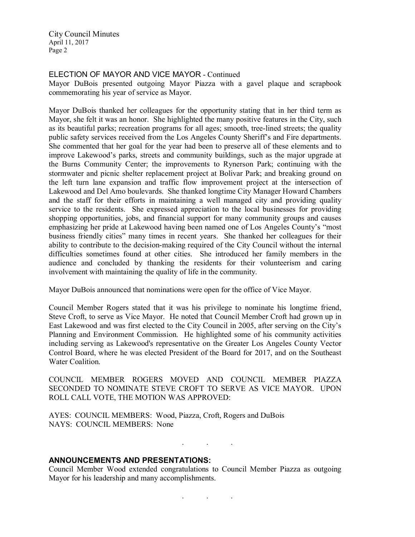### ELECTION OF MAYOR AND VICE MAYOR - Continued

Mayor DuBois presented outgoing Mayor Piazza with a gavel plaque and scrapbook commemorating his year of service as Mayor.

Mayor DuBois thanked her colleagues for the opportunity stating that in her third term as Mayor, she felt it was an honor. She highlighted the many positive features in the City, such as its beautiful parks; recreation programs for all ages; smooth, tree-lined streets; the quality public safety services received from the Los Angeles County Sheriff's and Fire departments. She commented that her goal for the year had been to preserve all of these elements and to improve Lakewood's parks, streets and community buildings, such as the major upgrade at the Burns Community Center; the improvements to Rynerson Park; continuing with the stormwater and picnic shelter replacement project at Bolivar Park; and breaking ground on the left turn lane expansion and traffic flow improvement project at the intersection of Lakewood and Del Amo boulevards. She thanked longtime City Manager Howard Chambers and the staff for their efforts in maintaining a well managed city and providing quality service to the residents. She expressed appreciation to the local businesses for providing shopping opportunities, jobs, and financial support for many community groups and causes emphasizing her pride at Lakewood having been named one of Los Angeles County's "most business friendly cities" many times in recent years. She thanked her colleagues for their ability to contribute to the decision-making required of the City Council without the internal difficulties sometimes found at other cities. She introduced her family members in the audience and concluded by thanking the residents for their volunteerism and caring involvement with maintaining the quality of life in the community.

Mayor DuBois announced that nominations were open for the office of Vice Mayor.

Council Member Rogers stated that it was his privilege to nominate his longtime friend, Steve Croft, to serve as Vice Mayor. He noted that Council Member Croft had grown up in East Lakewood and was first elected to the City Council in 2005, after serving on the City's Planning and Environment Commission. He highlighted some of his community activities including serving as Lakewood's representative on the Greater Los Angeles County Vector Control Board, where he was elected President of the Board for 2017, and on the Southeast Water Coalition.

COUNCIL MEMBER ROGERS MOVED AND COUNCIL MEMBER PIAZZA SECONDED TO NOMINATE STEVE CROFT TO SERVE AS VICE MAYOR. UPON ROLL CALL VOTE, THE MOTION WAS APPROVED:

AYES: COUNCIL MEMBERS: Wood, Piazza, Croft, Rogers and DuBois NAYS: COUNCIL MEMBERS: None

#### ANNOUNCEMENTS AND PRESENTATIONS:

Council Member Wood extended congratulations to Council Member Piazza as outgoing Mayor for his leadership and many accomplishments.

. . .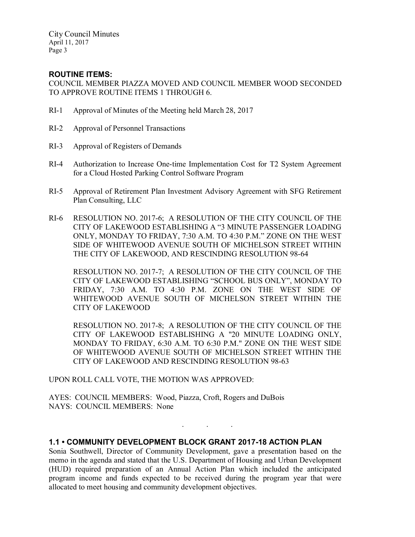## ROUTINE ITEMS:

COUNCIL MEMBER PIAZZA MOVED AND COUNCIL MEMBER WOOD SECONDED TO APPROVE ROUTINE ITEMS 1 THROUGH 6.

- RI-1 Approval of Minutes of the Meeting held March 28, 2017
- RI-2 Approval of Personnel Transactions
- RI-3 Approval of Registers of Demands
- RI-4 Authorization to Increase One-time Implementation Cost for T2 System Agreement for a Cloud Hosted Parking Control Software Program
- RI-5 Approval of Retirement Plan Investment Advisory Agreement with SFG Retirement Plan Consulting, LLC
- RI-6 RESOLUTION NO. 2017-6; A RESOLUTION OF THE CITY COUNCIL OF THE CITY OF LAKEWOOD ESTABLISHING A "3 MINUTE PASSENGER LOADING ONLY, MONDAY TO FRIDAY, 7:30 A.M. TO 4:30 P.M." ZONE ON THE WEST SIDE OF WHITEWOOD AVENUE SOUTH OF MICHELSON STREET WITHIN THE CITY OF LAKEWOOD, AND RESCINDING RESOLUTION 98-64

RESOLUTION NO. 2017-7; A RESOLUTION OF THE CITY COUNCIL OF THE CITY OF LAKEWOOD ESTABLISHING "SCHOOL BUS ONLY", MONDAY TO FRIDAY, 7:30 A.M. TO 4:30 P.M. ZONE ON THE WEST SIDE OF WHITEWOOD AVENUE SOUTH OF MICHELSON STREET WITHIN THE CITY OF LAKEWOOD

RESOLUTION NO. 2017-8; A RESOLUTION OF THE CITY COUNCIL OF THE CITY OF LAKEWOOD ESTABLISHING A "20 MINUTE LOADING ONLY, MONDAY TO FRIDAY, 6:30 A.M. TO 6:30 P.M." ZONE ON THE WEST SIDE OF WHITEWOOD AVENUE SOUTH OF MICHELSON STREET WITHIN THE CITY OF LAKEWOOD AND RESCINDING RESOLUTION 98-63

. . .

UPON ROLL CALL VOTE, THE MOTION WAS APPROVED:

AYES: COUNCIL MEMBERS: Wood, Piazza, Croft, Rogers and DuBois NAYS: COUNCIL MEMBERS: None

# 1.1 • COMMUNITY DEVELOPMENT BLOCK GRANT 2017-18 ACTION PLAN

Sonia Southwell, Director of Community Development, gave a presentation based on the memo in the agenda and stated that the U.S. Department of Housing and Urban Development (HUD) required preparation of an Annual Action Plan which included the anticipated program income and funds expected to be received during the program year that were allocated to meet housing and community development objectives.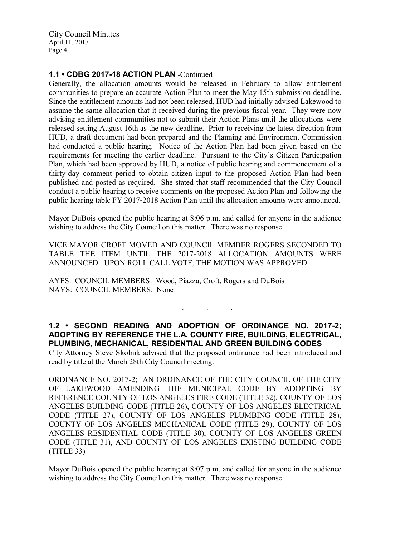## 1.1 • CDBG 2017-18 ACTION PLAN -Continued

Generally, the allocation amounts would be released in February to allow entitlement communities to prepare an accurate Action Plan to meet the May 15th submission deadline. Since the entitlement amounts had not been released, HUD had initially advised Lakewood to assume the same allocation that it received during the previous fiscal year. They were now advising entitlement communities not to submit their Action Plans until the allocations were released setting August 16th as the new deadline. Prior to receiving the latest direction from HUD, a draft document had been prepared and the Planning and Environment Commission had conducted a public hearing. Notice of the Action Plan had been given based on the requirements for meeting the earlier deadline. Pursuant to the City's Citizen Participation Plan, which had been approved by HUD, a notice of public hearing and commencement of a thirty-day comment period to obtain citizen input to the proposed Action Plan had been published and posted as required. She stated that staff recommended that the City Council conduct a public hearing to receive comments on the proposed Action Plan and following the public hearing table FY 2017-2018 Action Plan until the allocation amounts were announced.

Mayor DuBois opened the public hearing at 8:06 p.m. and called for anyone in the audience wishing to address the City Council on this matter. There was no response.

VICE MAYOR CROFT MOVED AND COUNCIL MEMBER ROGERS SECONDED TO TABLE THE ITEM UNTIL THE 2017-2018 ALLOCATION AMOUNTS WERE ANNOUNCED. UPON ROLL CALL VOTE, THE MOTION WAS APPROVED:

AYES: COUNCIL MEMBERS: Wood, Piazza, Croft, Rogers and DuBois NAYS: COUNCIL MEMBERS: None

# 1.2 • SECOND READING AND ADOPTION OF ORDINANCE NO. 2017-2; ADOPTING BY REFERENCE THE L.A. COUNTY FIRE, BUILDING, ELECTRICAL, PLUMBING, MECHANICAL, RESIDENTIAL AND GREEN BUILDING CODES

. . .

City Attorney Steve Skolnik advised that the proposed ordinance had been introduced and read by title at the March 28th City Council meeting.

ORDINANCE NO. 2017-2; AN ORDINANCE OF THE CITY COUNCIL OF THE CITY OF LAKEWOOD AMENDING THE MUNICIPAL CODE BY ADOPTING BY REFERENCE COUNTY OF LOS ANGELES FIRE CODE (TITLE 32), COUNTY OF LOS ANGELES BUILDING CODE (TITLE 26), COUNTY OF LOS ANGELES ELECTRICAL CODE (TITLE 27), COUNTY OF LOS ANGELES PLUMBING CODE (TITLE 28), COUNTY OF LOS ANGELES MECHANICAL CODE (TITLE 29), COUNTY OF LOS ANGELES RESIDENTIAL CODE (TITLE 30), COUNTY OF LOS ANGELES GREEN CODE (TITLE 31), AND COUNTY OF LOS ANGELES EXISTING BUILDING CODE (TITLE 33)

Mayor DuBois opened the public hearing at 8:07 p.m. and called for anyone in the audience wishing to address the City Council on this matter. There was no response.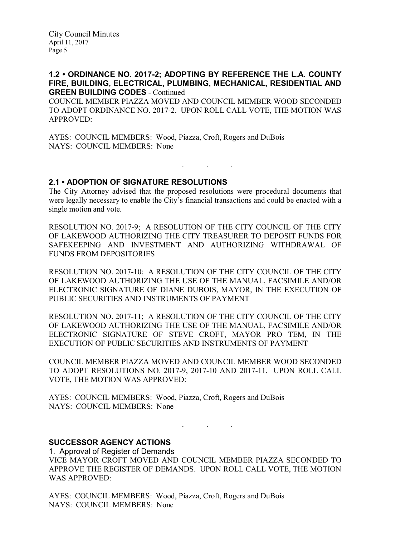## 1.2 • ORDINANCE NO. 2017-2; ADOPTING BY REFERENCE THE L.A. COUNTY FIRE, BUILDING, ELECTRICAL, PLUMBING, MECHANICAL, RESIDENTIAL AND GREEN BUILDING CODES - Continued

COUNCIL MEMBER PIAZZA MOVED AND COUNCIL MEMBER WOOD SECONDED TO ADOPT ORDINANCE NO. 2017-2. UPON ROLL CALL VOTE, THE MOTION WAS APPROVED:

AYES: COUNCIL MEMBERS: Wood, Piazza, Croft, Rogers and DuBois NAYS: COUNCIL MEMBERS: None

## 2.1 • ADOPTION OF SIGNATURE RESOLUTIONS

The City Attorney advised that the proposed resolutions were procedural documents that were legally necessary to enable the City's financial transactions and could be enacted with a single motion and vote.

. . .

RESOLUTION NO. 2017-9; A RESOLUTION OF THE CITY COUNCIL OF THE CITY OF LAKEWOOD AUTHORIZING THE CITY TREASURER TO DEPOSIT FUNDS FOR SAFEKEEPING AND INVESTMENT AND AUTHORIZING WITHDRAWAL OF FUNDS FROM DEPOSITORIES

RESOLUTION NO. 2017-10; A RESOLUTION OF THE CITY COUNCIL OF THE CITY OF LAKEWOOD AUTHORIZING THE USE OF THE MANUAL, FACSIMILE AND/OR ELECTRONIC SIGNATURE OF DIANE DUBOIS, MAYOR, IN THE EXECUTION OF PUBLIC SECURITIES AND INSTRUMENTS OF PAYMENT

RESOLUTION NO. 2017-11; A RESOLUTION OF THE CITY COUNCIL OF THE CITY OF LAKEWOOD AUTHORIZING THE USE OF THE MANUAL, FACSIMILE AND/OR ELECTRONIC SIGNATURE OF STEVE CROFT, MAYOR PRO TEM, IN THE EXECUTION OF PUBLIC SECURITIES AND INSTRUMENTS OF PAYMENT

COUNCIL MEMBER PIAZZA MOVED AND COUNCIL MEMBER WOOD SECONDED TO ADOPT RESOLUTIONS NO. 2017-9, 2017-10 AND 2017-11. UPON ROLL CALL VOTE, THE MOTION WAS APPROVED:

AYES: COUNCIL MEMBERS: Wood, Piazza, Croft, Rogers and DuBois NAYS: COUNCIL MEMBERS: None

. . .

## SUCCESSOR AGENCY ACTIONS

1. Approval of Register of Demands VICE MAYOR CROFT MOVED AND COUNCIL MEMBER PIAZZA SECONDED TO APPROVE THE REGISTER OF DEMANDS. UPON ROLL CALL VOTE, THE MOTION WAS APPROVED:

AYES: COUNCIL MEMBERS: Wood, Piazza, Croft, Rogers and DuBois NAYS: COUNCIL MEMBERS: None